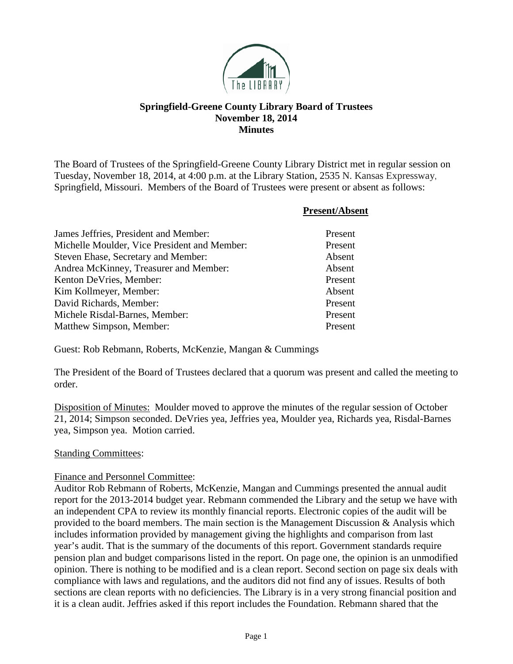

# **Springfield-Greene County Library Board of Trustees November 18, 2014 Minutes**

The Board of Trustees of the Springfield-Greene County Library District met in regular session on Tuesday, November 18, 2014, at 4:00 p.m. at the Library Station, 2535 N. Kansas Expressway, Springfield, Missouri. Members of the Board of Trustees were present or absent as follows:

|                                              | <b>Present/Absent</b> |
|----------------------------------------------|-----------------------|
| James Jeffries, President and Member:        | Present               |
| Michelle Moulder, Vice President and Member: | Present               |
| Steven Ehase, Secretary and Member:          | Absent                |
| Andrea McKinney, Treasurer and Member:       | Absent                |
| Kenton DeVries, Member:                      | Present               |
| Kim Kollmeyer, Member:                       | Absent                |
| David Richards, Member:                      | Present               |
| Michele Risdal-Barnes, Member:               | Present               |
| Matthew Simpson, Member:                     | Present               |

Guest: Rob Rebmann, Roberts, McKenzie, Mangan & Cummings

The President of the Board of Trustees declared that a quorum was present and called the meeting to order.

Disposition of Minutes: Moulder moved to approve the minutes of the regular session of October 21, 2014; Simpson seconded. DeVries yea, Jeffries yea, Moulder yea, Richards yea, Risdal-Barnes yea, Simpson yea. Motion carried.

### Standing Committees:

#### Finance and Personnel Committee:

Auditor Rob Rebmann of Roberts, McKenzie, Mangan and Cummings presented the annual audit report for the 2013-2014 budget year. Rebmann commended the Library and the setup we have with an independent CPA to review its monthly financial reports. Electronic copies of the audit will be provided to the board members. The main section is the Management Discussion  $\&$  Analysis which includes information provided by management giving the highlights and comparison from last year's audit. That is the summary of the documents of this report. Government standards require pension plan and budget comparisons listed in the report. On page one, the opinion is an unmodified opinion. There is nothing to be modified and is a clean report. Second section on page six deals with compliance with laws and regulations, and the auditors did not find any of issues. Results of both sections are clean reports with no deficiencies. The Library is in a very strong financial position and it is a clean audit. Jeffries asked if this report includes the Foundation. Rebmann shared that the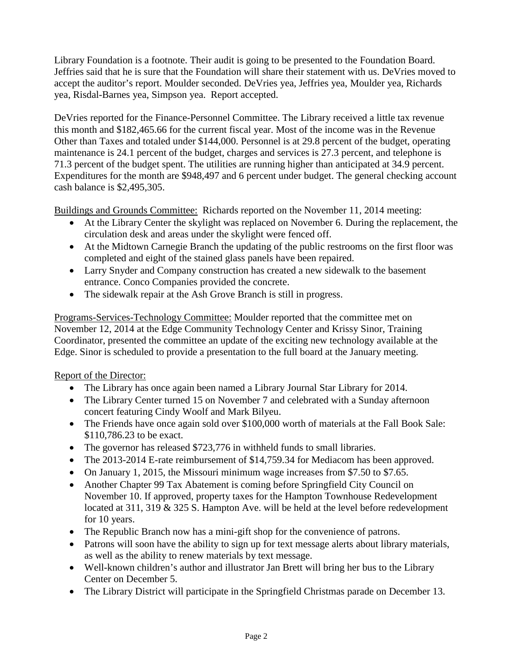Library Foundation is a footnote. Their audit is going to be presented to the Foundation Board. Jeffries said that he is sure that the Foundation will share their statement with us. DeVries moved to accept the auditor's report. Moulder seconded. DeVries yea, Jeffries yea, Moulder yea, Richards yea, Risdal-Barnes yea, Simpson yea. Report accepted.

DeVries reported for the Finance-Personnel Committee. The Library received a little tax revenue this month and \$182,465.66 for the current fiscal year. Most of the income was in the Revenue Other than Taxes and totaled under \$144,000. Personnel is at 29.8 percent of the budget, operating maintenance is 24.1 percent of the budget, charges and services is 27.3 percent, and telephone is 71.3 percent of the budget spent. The utilities are running higher than anticipated at 34.9 percent. Expenditures for the month are \$948,497 and 6 percent under budget. The general checking account cash balance is \$2,495,305.

Buildings and Grounds Committee: Richards reported on the November 11, 2014 meeting:

- At the Library Center the skylight was replaced on November 6. During the replacement, the circulation desk and areas under the skylight were fenced off.
- At the Midtown Carnegie Branch the updating of the public restrooms on the first floor was completed and eight of the stained glass panels have been repaired.
- Larry Snyder and Company construction has created a new sidewalk to the basement entrance. Conco Companies provided the concrete.
- The sidewalk repair at the Ash Grove Branch is still in progress.

Programs-Services-Technology Committee: Moulder reported that the committee met on November 12, 2014 at the Edge Community Technology Center and Krissy Sinor, Training Coordinator, presented the committee an update of the exciting new technology available at the Edge. Sinor is scheduled to provide a presentation to the full board at the January meeting.

### Report of the Director:

- The Library has once again been named a Library Journal Star Library for 2014.
- The Library Center turned 15 on November 7 and celebrated with a Sunday afternoon concert featuring Cindy Woolf and Mark Bilyeu.
- The Friends have once again sold over \$100,000 worth of materials at the Fall Book Sale: \$110,786.23 to be exact.
- The governor has released \$723,776 in withheld funds to small libraries.
- The 2013-2014 E-rate reimbursement of \$14,759.34 for Mediacom has been approved.
- On January 1, 2015, the Missouri minimum wage increases from \$7.50 to \$7.65.
- Another Chapter 99 Tax Abatement is coming before Springfield City Council on November 10. If approved, property taxes for the Hampton Townhouse Redevelopment located at 311, 319 & 325 S. Hampton Ave. will be held at the level before redevelopment for 10 years.
- The Republic Branch now has a mini-gift shop for the convenience of patrons.
- Patrons will soon have the ability to sign up for text message alerts about library materials, as well as the ability to renew materials by text message.
- Well-known children's author and illustrator Jan Brett will bring her bus to the Library Center on December 5.
- The Library District will participate in the Springfield Christmas parade on December 13.